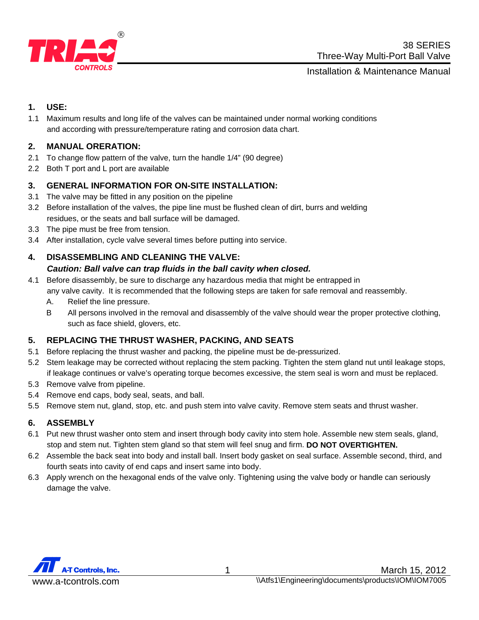

Installation & Maintenance Manual

#### **1. USE:**

1.1 Maximum results and long life of the valves can be maintained under normal working conditions and according with pressure/temperature rating and corrosion data chart.

### **2. MANUAL ORERATION:**

- 2.1 To change flow pattern of the valve, turn the handle 1/4" (90 degree)
- 2.2 Both T port and L port are available

### **3. GENERAL INFORMATION FOR ON-SITE INSTALLATION:**

- 3.1 The valve may be fitted in any position on the pipeline
- 3.2 Before installation of the valves, the pipe line must be flushed clean of dirt, burrs and welding residues, or the seats and ball surface will be damaged.
- 3.3 The pipe must be free from tension.
- 3.4 After installation, cycle valve several times before putting into service.

# **4. DISASSEMBLING AND CLEANING THE VALVE:**

#### *Caution: Ball valve can trap fluids in the ball cavity when closed.*

- 4.1 Before disassembly, be sure to discharge any hazardous media that might be entrapped in any valve cavity. It is recommended that the following steps are taken for safe removal and reassembly.
	- A. Relief the line pressure.
	- B All persons involved in the removal and disassembly of the valve should wear the proper protective clothing, such as face shield, glovers, etc.

# **5. REPLACING THE THRUST WASHER, PACKING, AND SEATS**

- 5.1 Before replacing the thrust washer and packing, the pipeline must be de-pressurized.
- 5.2 Stem leakage may be corrected without replacing the stem packing. Tighten the stem gland nut until leakage stops, if leakage continues or valve's operating torque becomes excessive, the stem seal is worn and must be replaced.
- 5.3 Remove valve from pipeline.
- 5.4 Remove end caps, body seal, seats, and ball.
- 5.5 Remove stem nut, gland, stop, etc. and push stem into valve cavity. Remove stem seats and thrust washer.

#### **6. ASSEMBLY**

- 6.1 Put new thrust washer onto stem and insert through body cavity into stem hole. Assemble new stem seals, gland, stop and stem nut. Tighten stem gland so that stem will feel snug and firm. **DO NOT OVERTIGHTEN.**
- 6.2 Assemble the back seat into body and install ball. Insert body gasket on seal surface. Assemble second, third, and fourth seats into cavity of end caps and insert same into body.
- 6.3 Apply wrench on the hexagonal ends of the valve only. Tightening using the valve body or handle can seriously damage the valve.

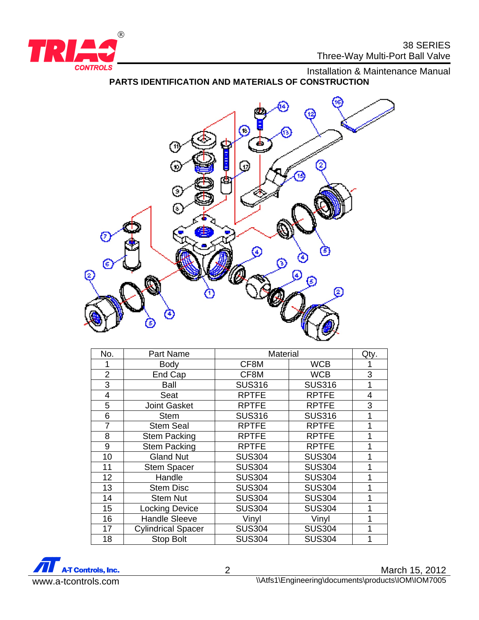

**CONTROLS CONTROLS PARTS IDENTIFICATION AND MATERIALS OF CONSTRUCTION** 



| No.            | <b>Part Name</b>          | <b>Material</b> |               | Qty.           |
|----------------|---------------------------|-----------------|---------------|----------------|
|                | Body                      | CF8M            | <b>WCB</b>    |                |
| $\overline{2}$ | End Cap                   | CF8M            | <b>WCB</b>    | 3              |
| 3              | Ball                      | <b>SUS316</b>   | <b>SUS316</b> | 1              |
| 4              | Seat                      | <b>RPTFE</b>    | <b>RPTFE</b>  | $\overline{4}$ |
| 5              | <b>Joint Gasket</b>       | <b>RPTFE</b>    | <b>RPTFE</b>  | 3              |
| 6              | <b>Stem</b>               | <b>SUS316</b>   | <b>SUS316</b> | 1              |
| 7              | <b>Stem Seal</b>          | <b>RPTFE</b>    | <b>RPTFE</b>  | 1              |
| 8              | <b>Stem Packing</b>       | <b>RPTFE</b>    | <b>RPTFE</b>  | 1              |
| 9              | <b>Stem Packing</b>       | <b>RPTFE</b>    | <b>RPTFE</b>  | 1              |
| 10             | <b>Gland Nut</b>          | <b>SUS304</b>   | <b>SUS304</b> | 1              |
| 11             | <b>Stem Spacer</b>        | <b>SUS304</b>   | <b>SUS304</b> | 1              |
| 12             | Handle                    | <b>SUS304</b>   | <b>SUS304</b> | 1              |
| 13             | <b>Stem Disc</b>          | <b>SUS304</b>   | <b>SUS304</b> | 1              |
| 14             | <b>Stem Nut</b>           | <b>SUS304</b>   | <b>SUS304</b> | 1              |
| 15             | <b>Locking Device</b>     | <b>SUS304</b>   | <b>SUS304</b> | 1              |
| 16             | <b>Handle Sleeve</b>      | Vinyl           | Vinyl         |                |
| 17             | <b>Cylindrical Spacer</b> | <b>SUS304</b>   | <b>SUS304</b> |                |
| 18             | <b>Stop Bolt</b>          | <b>SUS304</b>   | <b>SUS304</b> |                |